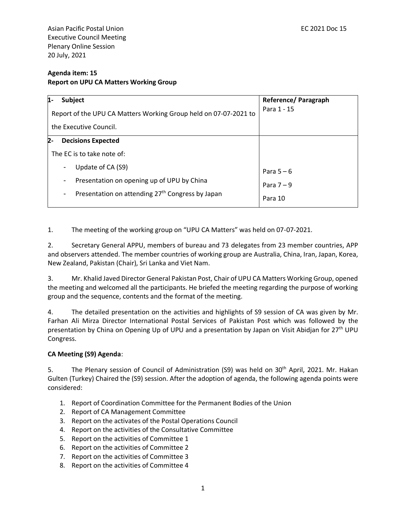Asian Pacific Postal Union **EC 2021 Doc 15** and the set of the set of the set of the set of the set of the set of the set of the set of the set of the set of the set of the set of the set of the set of the set of the set o Executive Council Meeting Plenary Online Session 20 July, 2021

## **Agenda item: 15 Report on UPU CA Matters Working Group**

| Subject<br>11-                                                                           | Reference/ Paragraph |
|------------------------------------------------------------------------------------------|----------------------|
| Report of the UPU CA Matters Working Group held on 07-07-2021 to                         | Para 1 - 15          |
| the Executive Council.                                                                   |                      |
| 2-<br><b>Decisions Expected</b>                                                          |                      |
| The EC is to take note of:                                                               |                      |
| Update of CA (S9)                                                                        | Para $5-6$           |
| Presentation on opening up of UPU by China<br>-                                          | Para $7-9$           |
| Presentation on attending 27 <sup>th</sup> Congress by Japan<br>$\overline{\phantom{a}}$ | Para 10              |

1. The meeting of the working group on "UPU CA Matters" was held on 07-07-2021.

2. Secretary General APPU, members of bureau and 73 delegates from 23 member countries, APP and observers attended. The member countries of working group are Australia, China, Iran, Japan, Korea, New Zealand, Pakistan (Chair), Sri Lanka and Viet Nam.

3. Mr. Khalid Javed Director General Pakistan Post, Chair of UPU CA Matters Working Group, opened the meeting and welcomed all the participants. He briefed the meeting regarding the purpose of working group and the sequence, contents and the format of the meeting.

4. The detailed presentation on the activities and highlights of S9 session of CA was given by Mr. Farhan Ali Mirza Director International Postal Services of Pakistan Post which was followed by the presentation by China on Opening Up of UPU and a presentation by Japan on Visit Abidjan for 27<sup>th</sup> UPU Congress.

## **CA Meeting (S9) Agenda**:

5. The Plenary session of Council of Administration (S9) was held on 30<sup>th</sup> April, 2021. Mr. Hakan Gulten (Turkey) Chaired the (S9) session. After the adoption of agenda, the following agenda points were considered:

- 1. Report of Coordination Committee for the Permanent Bodies of the Union
- 2. Report of CA Management Committee
- 3. Report on the activates of the Postal Operations Council
- 4. Report on the activities of the Consultative Committee
- 5. Report on the activities of Committee 1
- 6. Report on the activities of Committee 2
- 7. Report on the activities of Committee 3
- 8. Report on the activities of Committee 4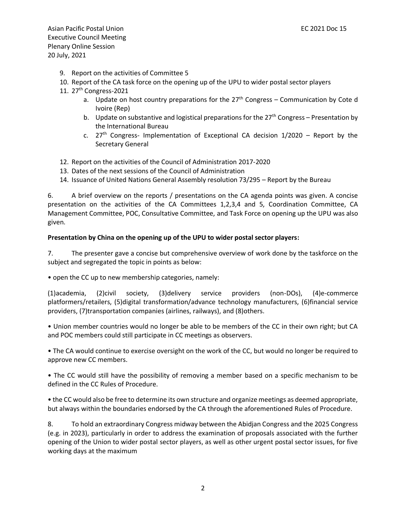Asian Pacific Postal Union **EC 2021 Doc 15** and the set of the set of the set of the set of the set of the set of the set of the set of the set of the set of the set of the set of the set of the set of the set of the set o Executive Council Meeting Plenary Online Session 20 July, 2021

- 9. Report on the activities of Committee 5
- 10. Report of the CA task force on the opening up of the UPU to wider postal sector players
- 11. 27<sup>th</sup> Congress-2021
	- a. Update on host country preparations for the  $27<sup>th</sup>$  Congress Communication by Cote d Ivoire (Rep)
	- b. Update on substantive and logistical preparations for the  $27<sup>th</sup>$  Congress Presentation by the International Bureau
	- c.  $27<sup>th</sup>$  Congress- Implementation of Exceptional CA decision  $1/2020$  Report by the Secretary General
- 12. Report on the activities of the Council of Administration 2017-2020
- 13. Dates of the next sessions of the Council of Administration
- 14. Issuance of United Nations General Assembly resolution 73/295 Report by the Bureau

6. A brief overview on the reports / presentations on the CA agenda points was given. A concise presentation on the activities of the CA Committees 1,2,3,4 and 5, Coordination Committee, CA Management Committee, POC, Consultative Committee, and Task Force on opening up the UPU was also given.

## **Presentation by China on the opening up of the UPU to wider postal sector players:**

7. The presenter gave a concise but comprehensive overview of work done by the taskforce on the subject and segregated the topic in points as below:

• open the CC up to new membership categories, namely:

(1)academia, (2)civil society, (3)delivery service providers (non-DOs), (4)e-commerce platformers/retailers, (5)digital transformation/advance technology manufacturers, (6)financial service providers, (7)transportation companies (airlines, railways), and (8)others.

• Union member countries would no longer be able to be members of the CC in their own right; but CA and POC members could still participate in CC meetings as observers.

• The CA would continue to exercise oversight on the work of the CC, but would no longer be required to approve new CC members.

• The CC would still have the possibility of removing a member based on a specific mechanism to be defined in the CC Rules of Procedure.

• the CC would also be free to determine its own structure and organize meetings as deemed appropriate, but always within the boundaries endorsed by the CA through the aforementioned Rules of Procedure.

8. To hold an extraordinary Congress midway between the Abidjan Congress and the 2025 Congress (e.g. in 2023), particularly in order to address the examination of proposals associated with the further opening of the Union to wider postal sector players, as well as other urgent postal sector issues, for five working days at the maximum